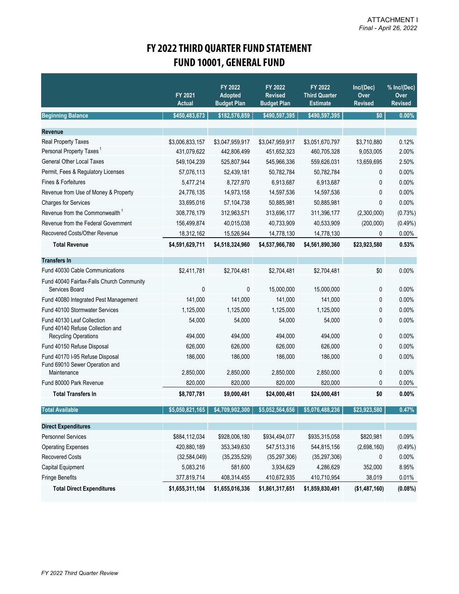## **FY 2022 THIRD QUARTER FUND STATEMENT FUND 10001, GENERAL FUND**

|                                                                   | FY 2021<br><b>Actual</b> | FY 2022<br><b>Adopted</b><br><b>Budget Plan</b> | FY 2022<br><b>Revised</b><br><b>Budget Plan</b> | FY 2022<br><b>Third Quarter</b><br><b>Estimate</b> | Inc/(Dec)<br>Over<br><b>Revised</b> | % Inc/(Dec)<br>Over<br><b>Revised</b> |
|-------------------------------------------------------------------|--------------------------|-------------------------------------------------|-------------------------------------------------|----------------------------------------------------|-------------------------------------|---------------------------------------|
| <b>Beginning Balance</b>                                          | \$450,483,673            | \$182,576,859                                   | \$490,597,395                                   | \$490,597,395                                      | \$0                                 | $0.00\%$                              |
| Revenue                                                           |                          |                                                 |                                                 |                                                    |                                     |                                       |
| Real Property Taxes                                               | \$3,006,833,157          | \$3,047,959,917                                 | \$3,047,959,917                                 | \$3,051,670,797                                    | \$3,710,880                         | 0.12%                                 |
| Personal Property Taxes <sup>1</sup>                              | 431,079,622              | 442,806,499                                     | 451,652,323                                     | 460,705,328                                        | 9,053,005                           | 2.00%                                 |
| <b>General Other Local Taxes</b>                                  | 549,104,239              | 525,807,944                                     | 545,966,336                                     | 559,626,031                                        | 13,659,695                          | 2.50%                                 |
| Permit, Fees & Regulatory Licenses                                | 57,076,113               | 52,439,181                                      | 50,782,784                                      | 50,782,784                                         | 0                                   | 0.00%                                 |
| Fines & Forfeitures                                               | 5,477,214                | 8,727,970                                       | 6,913,687                                       | 6,913,687                                          | 0                                   | 0.00%                                 |
| Revenue from Use of Money & Property                              | 24,776,135               | 14,973,158                                      | 14,597,536                                      | 14,597,536                                         | 0                                   | 0.00%                                 |
| <b>Charges for Services</b>                                       | 33,695,016               | 57,104,738                                      | 50,885,981                                      | 50,885,981                                         | 0                                   | 0.00%                                 |
| Revenue from the Commonwealth <sup>1</sup>                        | 308,776,179              | 312,963,571                                     | 313,696,177                                     | 311,396,177                                        | (2,300,000)                         | (0.73%)                               |
| Revenue from the Federal Government                               | 156,499,874              | 40,015,038                                      | 40,733,909                                      | 40,533,909                                         | (200,000)                           | (0.49%)                               |
| Recovered Costs/Other Revenue                                     | 18,312,162               | 15,526,944                                      | 14,778,130                                      | 14,778,130                                         | 0                                   | 0.00%                                 |
| <b>Total Revenue</b>                                              | \$4,591,629,711          | \$4,518,324,960                                 | \$4,537,966,780                                 | \$4,561,890,360                                    | \$23,923,580                        | 0.53%                                 |
| <b>Transfers In</b>                                               |                          |                                                 |                                                 |                                                    |                                     |                                       |
| Fund 40030 Cable Communications                                   | \$2,411,781              | \$2,704,481                                     | \$2,704,481                                     | \$2,704,481                                        | \$0                                 | 0.00%                                 |
| Fund 40040 Fairfax-Falls Church Community                         |                          |                                                 |                                                 |                                                    |                                     |                                       |
| Services Board                                                    | $\mathbf 0$              | 0                                               | 15,000,000                                      | 15,000,000                                         | 0                                   | 0.00%                                 |
| Fund 40080 Integrated Pest Management                             | 141,000                  | 141,000                                         | 141,000                                         | 141,000                                            | 0                                   | 0.00%                                 |
| Fund 40100 Stormwater Services                                    | 1,125,000                | 1,125,000                                       | 1,125,000                                       | 1,125,000                                          | 0                                   | 0.00%                                 |
| Fund 40130 Leaf Collection<br>Fund 40140 Refuse Collection and    | 54,000                   | 54,000                                          | 54,000                                          | 54,000                                             | 0                                   | 0.00%                                 |
| <b>Recycling Operations</b>                                       | 494,000                  | 494,000                                         | 494,000                                         | 494,000                                            | 0                                   | 0.00%                                 |
| Fund 40150 Refuse Disposal                                        | 626,000                  | 626,000                                         | 626,000                                         | 626,000                                            | 0                                   | 0.00%                                 |
| Fund 40170 I-95 Refuse Disposal<br>Fund 69010 Sewer Operation and | 186,000                  | 186,000                                         | 186,000                                         | 186,000                                            | 0                                   | 0.00%                                 |
| Maintenance<br>Fund 80000 Park Revenue                            | 2,850,000                | 2,850,000                                       | 2,850,000                                       | 2,850,000                                          | 0                                   | 0.00%                                 |
|                                                                   | 820,000                  | 820,000                                         | 820,000                                         | 820,000                                            | 0                                   | 0.00%                                 |
| <b>Total Transfers In</b>                                         | \$8,707,781              | \$9,000,481                                     | \$24,000,481                                    | \$24,000,481                                       | \$0                                 | 0.00%                                 |
| <b>Total Available</b>                                            | \$5,050,821,165          | \$4,709,902,300                                 | \$5,052,564,656                                 | \$5,076,488,236                                    | \$23,923,580                        | 0.47%                                 |
| <b>Direct Expenditures</b>                                        |                          |                                                 |                                                 |                                                    |                                     |                                       |
| <b>Personnel Services</b>                                         | \$884,112,034            | \$928,006,180                                   | \$934,494,077                                   | \$935,315,058                                      | \$820,981                           | 0.09%                                 |
| <b>Operating Expenses</b>                                         | 420,880,189              | 353,349,630                                     | 547,513,316                                     | 544,815,156                                        | (2,698,160)                         | $(0.49\%)$                            |
| <b>Recovered Costs</b>                                            | (32, 584, 049)           | (35, 235, 529)                                  | (35, 297, 306)                                  | (35, 297, 306)                                     | 0                                   | 0.00%                                 |
| Capital Equipment                                                 | 5,083,216                | 581,600                                         | 3,934,629                                       | 4,286,629                                          | 352,000                             | 8.95%                                 |
| Fringe Benefits                                                   | 377,819,714              | 408,314,455                                     | 410,672,935                                     | 410,710,954                                        | 38,019                              | 0.01%                                 |
| <b>Total Direct Expenditures</b>                                  | \$1,655,311,104          | \$1,655,016,336                                 | \$1,861,317,651                                 | \$1,859,830,491                                    | (\$1,487,160)                       | $(0.08\%)$                            |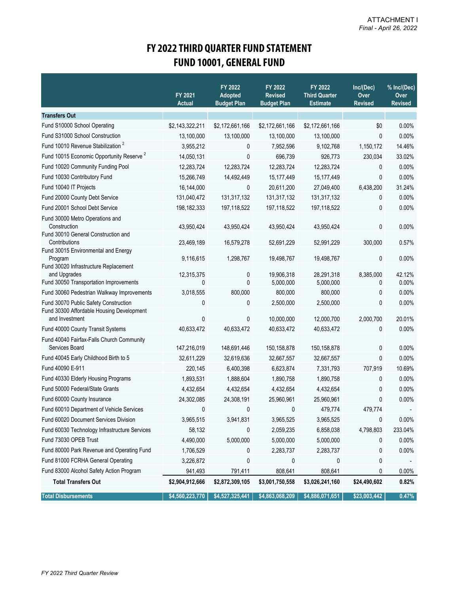## **FY 2022 THIRD QUARTER FUND STATEMENT FUND 10001, GENERAL FUND**

|                                                                                             | FY 2021<br><b>Actual</b> | FY 2022<br><b>Adopted</b><br><b>Budget Plan</b> | FY 2022<br><b>Revised</b><br><b>Budget Plan</b> | FY 2022<br><b>Third Quarter</b><br><b>Estimate</b> | Inc/(Dec)<br>Over<br><b>Revised</b> | % Inc/(Dec)<br>Over<br><b>Revised</b> |
|---------------------------------------------------------------------------------------------|--------------------------|-------------------------------------------------|-------------------------------------------------|----------------------------------------------------|-------------------------------------|---------------------------------------|
| <b>Transfers Out</b>                                                                        |                          |                                                 |                                                 |                                                    |                                     |                                       |
| Fund S10000 School Operating                                                                | \$2,143,322,211          | \$2,172,661,166                                 | \$2,172,661,166                                 | \$2,172,661,166                                    | \$0                                 | 0.00%                                 |
| Fund S31000 School Construction                                                             | 13,100,000               | 13,100,000                                      | 13,100,000                                      | 13,100,000                                         | 0                                   | 0.00%                                 |
| Fund 10010 Revenue Stabilization <sup>2</sup>                                               | 3,955,212                | 0                                               | 7,952,596                                       | 9,102,768                                          | 1,150,172                           | 14.46%                                |
| Fund 10015 Economic Opportunity Reserve <sup>2</sup>                                        | 14,050,131               | 0                                               | 696,739                                         | 926,773                                            | 230,034                             | 33.02%                                |
| Fund 10020 Community Funding Pool                                                           | 12,283,724               | 12,283,724                                      | 12,283,724                                      | 12,283,724                                         | 0                                   | 0.00%                                 |
| Fund 10030 Contributory Fund                                                                | 15,266,749               | 14,492,449                                      | 15,177,449                                      | 15,177,449                                         | $\mathbf 0$                         | 0.00%                                 |
| Fund 10040 IT Projects                                                                      | 16,144,000               | 0                                               | 20,611,200                                      | 27,049,400                                         | 6,438,200                           | 31.24%                                |
| Fund 20000 County Debt Service                                                              | 131,040,472              | 131,317,132                                     | 131,317,132                                     | 131,317,132                                        | 0                                   | 0.00%                                 |
| Fund 20001 School Debt Service                                                              | 198, 182, 333            | 197,118,522                                     | 197,118,522                                     | 197,118,522                                        | 0                                   | 0.00%                                 |
| Fund 30000 Metro Operations and<br>Construction                                             | 43,950,424               | 43,950,424                                      | 43,950,424                                      | 43,950,424                                         | 0                                   | 0.00%                                 |
| Fund 30010 General Construction and<br>Contributions<br>Fund 30015 Environmental and Energy | 23,469,189               | 16,579,278                                      | 52,691,229                                      | 52,991,229                                         | 300,000                             | 0.57%                                 |
| Program<br>Fund 30020 Infrastructure Replacement                                            | 9,116,615                | 1,298,767                                       | 19,498,767                                      | 19,498,767                                         | 0                                   | 0.00%                                 |
| and Upgrades                                                                                | 12,315,375               | 0                                               | 19,906,318                                      | 28,291,318                                         | 8,385,000                           | 42.12%                                |
| Fund 30050 Transportation Improvements                                                      | 0                        | 0                                               | 5,000,000                                       | 5,000,000                                          | 0                                   | 0.00%                                 |
| Fund 30060 Pedestrian Walkway Improvements                                                  | 3,018,555                | 800,000                                         | 800,000                                         | 800,000                                            | 0                                   | 0.00%                                 |
| Fund 30070 Public Safety Construction<br>Fund 30300 Affordable Housing Development          | 0                        | 0                                               | 2,500,000                                       | 2,500,000                                          | 0                                   | 0.00%                                 |
| and Investment                                                                              | 0                        | 0                                               | 10,000,000                                      | 12,000,700                                         | 2,000,700                           | 20.01%                                |
| Fund 40000 County Transit Systems                                                           | 40,633,472               | 40,633,472                                      | 40,633,472                                      | 40,633,472                                         | 0                                   | 0.00%                                 |
| Fund 40040 Fairfax-Falls Church Community<br>Services Board                                 | 147,216,019              | 148,691,446                                     | 150,158,878                                     | 150,158,878                                        | 0                                   | 0.00%                                 |
| Fund 40045 Early Childhood Birth to 5                                                       | 32,611,229               | 32,619,636                                      | 32,667,557                                      | 32,667,557                                         | $\mathbf{0}$                        | 0.00%                                 |
| Fund 40090 E-911                                                                            | 220,145                  | 6,400,398                                       | 6,623,874                                       | 7,331,793                                          | 707,919                             | 10.69%                                |
| Fund 40330 Elderly Housing Programs                                                         | 1,893,531                | 1,888,604                                       | 1,890,758                                       | 1,890,758                                          | 0                                   | 0.00%                                 |
| Fund 50000 Federal/State Grants                                                             | 4,432,654                | 4,432,654                                       | 4,432,654                                       | 4,432,654                                          | 0                                   | 0.00%                                 |
| Fund 60000 County Insurance                                                                 | 24,302,085               | 24,308,191                                      | 25,960,961                                      | 25,960,961                                         | 0                                   | 0.00%                                 |
| Fund 60010 Department of Vehicle Services                                                   | 0                        | 0                                               | 0                                               | 479,774                                            | 479,774                             |                                       |
| Fund 60020 Document Services Division                                                       | 3,965,515                | 3,941,831                                       | 3,965,525                                       | 3,965,525                                          | 0                                   | 0.00%                                 |
| Fund 60030 Technology Infrastructure Services                                               | 58,132                   | 0                                               | 2,059,235                                       | 6,858,038                                          | 4,798,803                           | 233.04%                               |
| Fund 73030 OPEB Trust                                                                       | 4,490,000                | 5,000,000                                       | 5,000,000                                       | 5,000,000                                          | 0                                   | 0.00%                                 |
| Fund 80000 Park Revenue and Operating Fund                                                  | 1,706,529                | 0                                               | 2,283,737                                       | 2,283,737                                          | 0                                   | 0.00%                                 |
| Fund 81000 FCRHA General Operating                                                          | 3,226,872                | 0                                               | 0                                               | 0                                                  | 0                                   |                                       |
| Fund 83000 Alcohol Safety Action Program                                                    | 941,493                  | 791,411                                         | 808,641                                         | 808,641                                            | 0                                   | 0.00%                                 |
| <b>Total Transfers Out</b>                                                                  | \$2,904,912,666          | \$2,872,309,105                                 | \$3,001,750,558                                 | \$3,026,241,160                                    | \$24,490,602                        | 0.82%                                 |
| <b>Total Disbursements</b>                                                                  | \$4,560,223,770          | \$4,527,325,441                                 | \$4,863,068,209                                 | \$4,886,071,651                                    | \$23,003,442                        | 0.47%                                 |